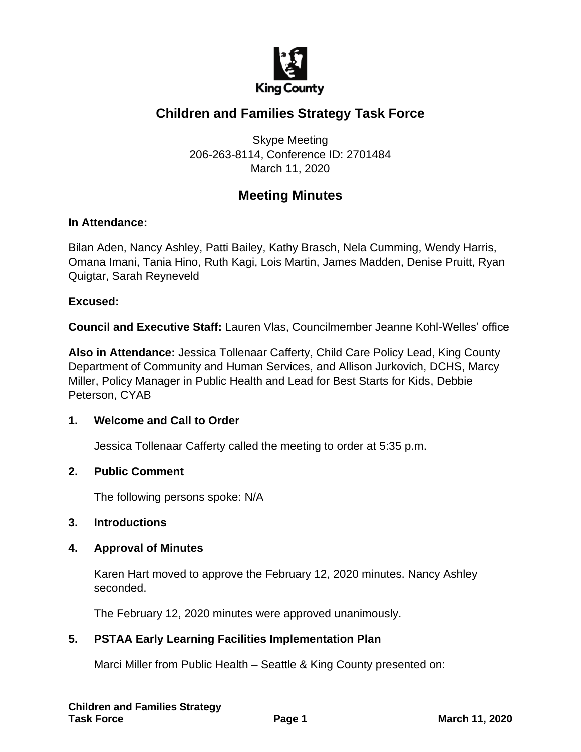

# **Children and Families Strategy Task Force**

Skype Meeting 206-263-8114, Conference ID: 2701484 March 11, 2020

## **Meeting Minutes**

#### **In Attendance:**

Bilan Aden, Nancy Ashley, Patti Bailey, Kathy Brasch, Nela Cumming, Wendy Harris, Omana Imani, Tania Hino, Ruth Kagi, Lois Martin, James Madden, Denise Pruitt, Ryan Quigtar, Sarah Reyneveld

#### **Excused:**

**Council and Executive Staff:** Lauren Vlas, Councilmember Jeanne Kohl-Welles' office

**Also in Attendance:** Jessica Tollenaar Cafferty, Child Care Policy Lead, King County Department of Community and Human Services, and Allison Jurkovich, DCHS, Marcy Miller, Policy Manager in Public Health and Lead for Best Starts for Kids, Debbie Peterson, CYAB

#### **1. Welcome and Call to Order**

Jessica Tollenaar Cafferty called the meeting to order at 5:35 p.m.

#### **2. Public Comment**

The following persons spoke: N/A

#### **3. Introductions**

#### **4. Approval of Minutes**

Karen Hart moved to approve the February 12, 2020 minutes. Nancy Ashley seconded.

The February 12, 2020 minutes were approved unanimously.

## **5. PSTAA Early Learning Facilities Implementation Plan**

Marci Miller from Public Health – Seattle & King County presented on: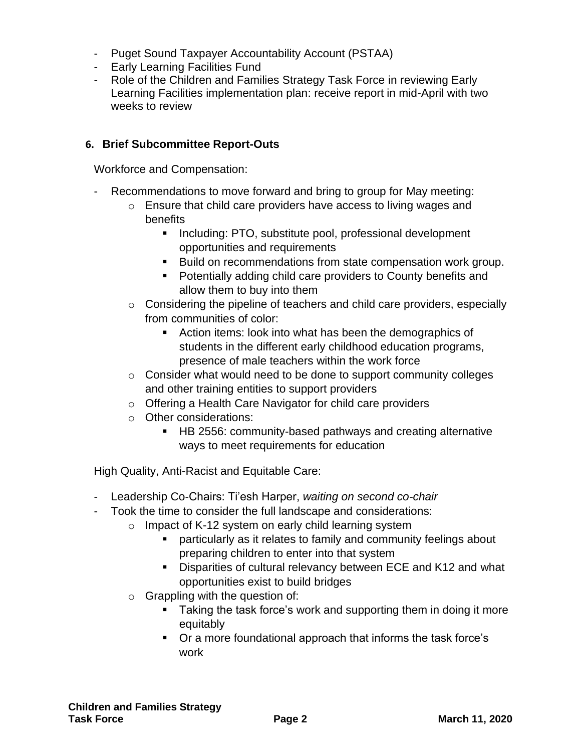- Puget Sound Taxpayer Accountability Account (PSTAA)
- Early Learning Facilities Fund
- Role of the Children and Families Strategy Task Force in reviewing Early Learning Facilities implementation plan: receive report in mid-April with two weeks to review

## **6. Brief Subcommittee Report-Outs**

Workforce and Compensation:

- Recommendations to move forward and bring to group for May meeting:
	- o Ensure that child care providers have access to living wages and benefits
		- Including: PTO, substitute pool, professional development opportunities and requirements
		- Build on recommendations from state compensation work group.
		- Potentially adding child care providers to County benefits and allow them to buy into them
	- o Considering the pipeline of teachers and child care providers, especially from communities of color:
		- Action items: look into what has been the demographics of students in the different early childhood education programs, presence of male teachers within the work force
	- o Consider what would need to be done to support community colleges and other training entities to support providers
	- o Offering a Health Care Navigator for child care providers
	- o Other considerations:
		- HB 2556: community-based pathways and creating alternative ways to meet requirements for education

High Quality, Anti-Racist and Equitable Care:

- Leadership Co-Chairs: Ti'esh Harper, *waiting on second co-chair*
- Took the time to consider the full landscape and considerations:
	- o Impact of K-12 system on early child learning system
		- particularly as it relates to family and community feelings about preparing children to enter into that system
		- Disparities of cultural relevancy between ECE and K12 and what opportunities exist to build bridges
	- $\circ$  Grappling with the question of:
		- Taking the task force's work and supporting them in doing it more equitably
		- Or a more foundational approach that informs the task force's work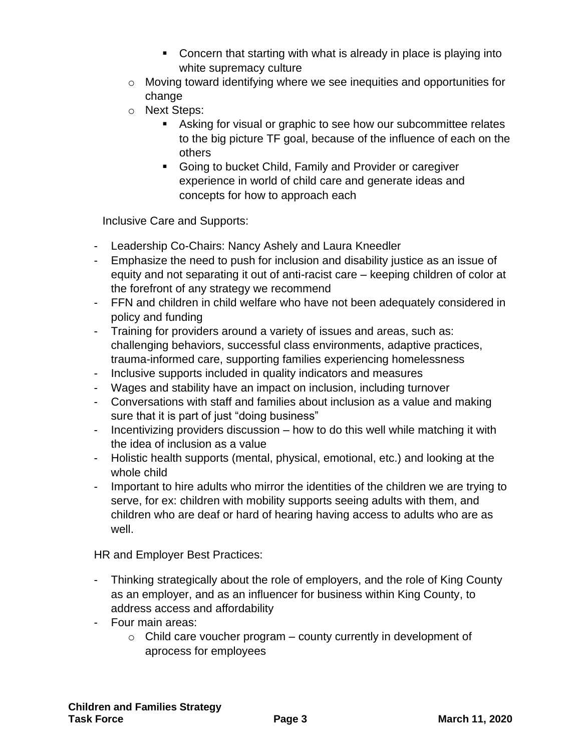- Concern that starting with what is already in place is playing into white supremacy culture
- o Moving toward identifying where we see inequities and opportunities for change
- o Next Steps:
	- Asking for visual or graphic to see how our subcommittee relates to the big picture TF goal, because of the influence of each on the others
	- Going to bucket Child, Family and Provider or caregiver experience in world of child care and generate ideas and concepts for how to approach each

Inclusive Care and Supports:

- Leadership Co-Chairs: Nancy Ashely and Laura Kneedler
- Emphasize the need to push for inclusion and disability justice as an issue of equity and not separating it out of anti-racist care – keeping children of color at the forefront of any strategy we recommend
- FFN and children in child welfare who have not been adequately considered in policy and funding
- Training for providers around a variety of issues and areas, such as: challenging behaviors, successful class environments, adaptive practices, trauma-informed care, supporting families experiencing homelessness
- Inclusive supports included in quality indicators and measures
- Wages and stability have an impact on inclusion, including turnover
- Conversations with staff and families about inclusion as a value and making sure that it is part of just "doing business"
- Incentivizing providers discussion how to do this well while matching it with the idea of inclusion as a value
- Holistic health supports (mental, physical, emotional, etc.) and looking at the whole child
- Important to hire adults who mirror the identities of the children we are trying to serve, for ex: children with mobility supports seeing adults with them, and children who are deaf or hard of hearing having access to adults who are as well.

HR and Employer Best Practices:

- Thinking strategically about the role of employers, and the role of King County as an employer, and as an influencer for business within King County, to address access and affordability
- Four main areas:
	- $\circ$  Child care voucher program county currently in development of aprocess for employees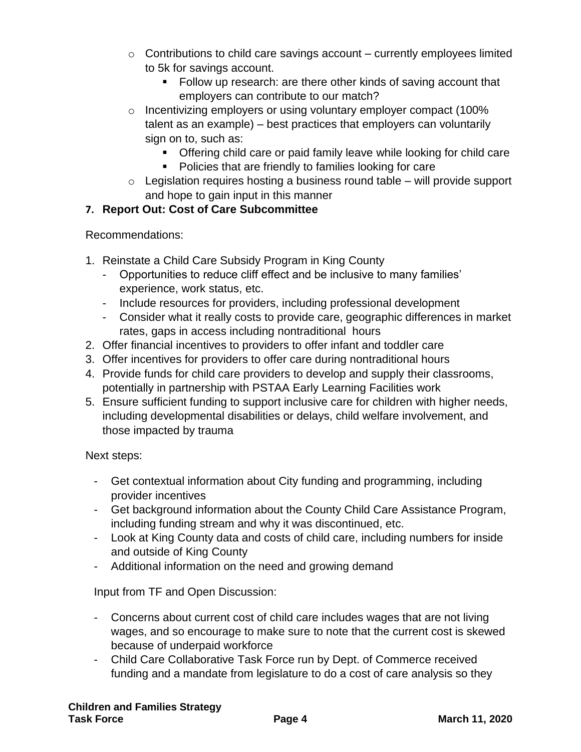- $\circ$  Contributions to child care savings account currently employees limited to 5k for savings account.
	- Follow up research: are there other kinds of saving account that employers can contribute to our match?
- o Incentivizing employers or using voluntary employer compact (100% talent as an example) – best practices that employers can voluntarily sign on to, such as:
	- Offering child care or paid family leave while looking for child care
	- Policies that are friendly to families looking for care
- $\circ$  Legislation requires hosting a business round table will provide support and hope to gain input in this manner

## **7. Report Out: Cost of Care Subcommittee**

Recommendations:

- 1. Reinstate a Child Care Subsidy Program in King County
	- Opportunities to reduce cliff effect and be inclusive to many families' experience, work status, etc.
	- Include resources for providers, including professional development
	- Consider what it really costs to provide care, geographic differences in market rates, gaps in access including nontraditional hours
- 2. Offer financial incentives to providers to offer infant and toddler care
- 3. Offer incentives for providers to offer care during nontraditional hours
- 4. Provide funds for child care providers to develop and supply their classrooms, potentially in partnership with PSTAA Early Learning Facilities work
- 5. Ensure sufficient funding to support inclusive care for children with higher needs, including developmental disabilities or delays, child welfare involvement, and those impacted by trauma

Next steps:

- Get contextual information about City funding and programming, including provider incentives
- Get background information about the County Child Care Assistance Program, including funding stream and why it was discontinued, etc.
- Look at King County data and costs of child care, including numbers for inside and outside of King County
- Additional information on the need and growing demand

Input from TF and Open Discussion:

- Concerns about current cost of child care includes wages that are not living wages, and so encourage to make sure to note that the current cost is skewed because of underpaid workforce
- Child Care Collaborative Task Force run by Dept. of Commerce received funding and a mandate from legislature to do a cost of care analysis so they